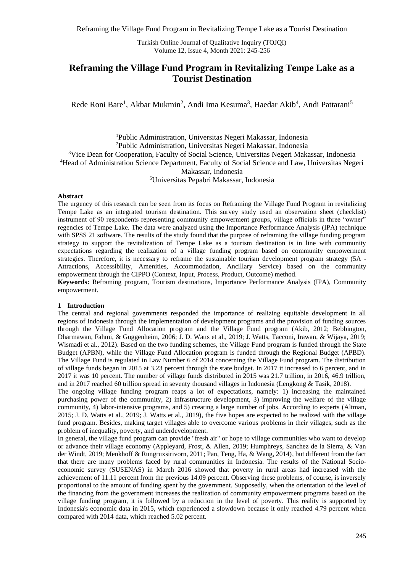Turkish Online Journal of Qualitative Inquiry (TOJQI) Volume 12, Issue 4, Month 2021: 245-256

# **Reframing the Village Fund Program in Revitalizing Tempe Lake as a Tourist Destination**

Rede Roni Bare<sup>1</sup>, Akbar Mukmin<sup>2</sup>, Andi Ima Kesuma<sup>3</sup>, Haedar Akib<sup>4</sup>, Andi Pattarani<sup>5</sup>

Public Administration, Universitas Negeri Makassar, Indonesia Public Administration, Universitas Negeri Makassar, Indonesia Vice Dean for Cooperation, Faculty of Social Science, Universitas Negeri Makassar, Indonesia Head of Administration Science Department, Faculty of Social Science and Law, Universitas Negeri Makassar, Indonesia Universitas Pepabri Makassar, Indonesia

#### **Abstract**

The urgency of this research can be seen from its focus on Reframing the Village Fund Program in revitalizing Tempe Lake as an integrated tourism destination. This survey study used an observation sheet (checklist) instrument of 90 respondents representing community empowerment groups, village officials in three "owner" regencies of Tempe Lake. The data were analyzed using the Importance Performance Analysis (IPA) technique with SPSS 21 software. The results of the study found that the purpose of reframing the village funding program strategy to support the revitalization of Tempe Lake as a tourism destination is in line with community expectations regarding the realization of a village funding program based on community empowerment strategies. Therefore, it is necessary to reframe the sustainable tourism development program strategy (5A - Attractions, Accessibility, Amenities, Accommodation, Ancillary Service) based on the community empowerment through the CIPPO (Context, Input, Process, Product, Outcome) method.

**Keywords:** Reframing program, Tourism destinations, Importance Performance Analysis (IPA), Community empowerment.

#### **1 Introduction**

The central and regional governments responded the importance of realizing equitable development in all regions of Indonesia through the implementation of development programs and the provision of funding sources through the Village Fund Allocation program and the Village Fund program (Akib, 2012; Bebbington, Dharmawan, Fahmi, & Guggenheim, 2006; J. D. Watts et al., 2019; J. Watts, Tacconi, Irawan, & Wijaya, 2019; Wismadi et al., 2012). Based on the two funding schemes, the Village Fund program is funded through the State Budget (APBN), while the Village Fund Allocation program is funded through the Regional Budget (APBD). The Village Fund is regulated in Law Number 6 of 2014 concerning the Village Fund program. The distribution of village funds began in 2015 at 3.23 percent through the state budget. In 2017 it increased to 6 percent, and in 2017 it was 10 percent. The number of village funds distributed in 2015 was 21.7 trillion, in 2016, 46.9 trillion, and in 2017 reached 60 trillion spread in seventy thousand villages in Indonesia (Lengkong & Tasik, 2018).

The ongoing village funding program reaps a lot of expectations, namely: 1) increasing the maintained purchasing power of the community, 2) infrastructure development, 3) improving the welfare of the village community, 4) labor-intensive programs, and 5) creating a large number of jobs. According to experts (Altman, 2015; J. D. Watts et al., 2019; J. Watts et al., 2019), the five hopes are expected to be realized with the village fund program. Besides, making target villages able to overcome various problems in their villages, such as the problem of inequality, poverty, and underdevelopment.

In general, the village fund program can provide "fresh air" or hope to village communities who want to develop or advance their village economy (Appleyard, Frost, & Allen, 2019; Humphreys, Sanchez de la Sierra, & Van der Windt, 2019; Menkhoff & Rungruxsirivorn, 2011; Pan, Teng, Ha, & Wang, 2014), but different from the fact that there are many problems faced by rural communities in Indonesia. The results of the National Socioeconomic survey (SUSENAS) in March 2016 showed that poverty in rural areas had increased with the achievement of 11.11 percent from the previous 14.09 percent. Observing these problems, of course, is inversely proportional to the amount of funding spent by the government. Supposedly, when the orientation of the level of the financing from the government increases the realization of community empowerment programs based on the village funding program, it is followed by a reduction in the level of poverty. This reality is supported by Indonesia's economic data in 2015, which experienced a slowdown because it only reached 4.79 percent when compared with 2014 data, which reached 5.02 percent.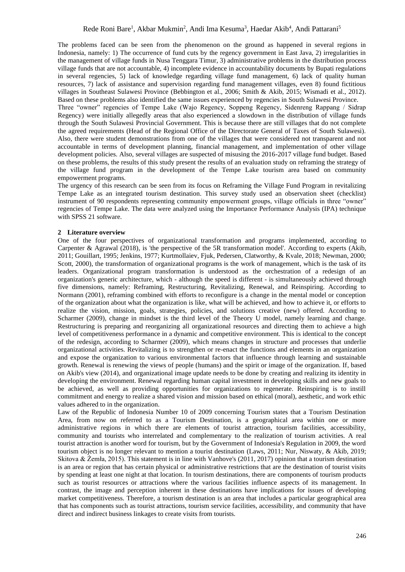The problems faced can be seen from the phenomenon on the ground as happened in several regions in Indonesia, namely: 1) The occurrence of fund cuts by the regency government in East Java, 2) irregularities in the management of village funds in Nusa Tenggara Timur, 3) administrative problems in the distribution process village funds that are not accountable, 4) incomplete evidence in accountability documents by Bupati regulations in several regencies, 5) lack of knowledge regarding village fund management, 6) lack of quality human resources, 7) lack of assistance and supervision regarding fund management villages, even 8) found fictitious villages in Southeast Sulawesi Province (Bebbington et al., 2006; Smith & Akib, 2015; Wismadi et al., 2012). Based on these problems also identified the same issues experienced by regencies in South Sulawesi Province.

Three "owner" regencies of Tempe Lake (Wajo Regency, Soppeng Regency, Sidenreng Rappang / Sidrap Regency) were initially allegedly areas that also experienced a slowdown in the distribution of village funds through the South Sulawesi Provincial Government. This is because there are still villages that do not complete the agreed requirements (Head of the Regional Office of the Directorate General of Taxes of South Sulawesi). Also, there were student demonstrations from one of the villages that were considered not transparent and not accountable in terms of development planning, financial management, and implementation of other village development policies. Also, several villages are suspected of misusing the 2016-2017 village fund budget. Based on these problems, the results of this study present the results of an evaluation study on reframing the strategy of the village fund program in the development of the Tempe Lake tourism area based on community empowerment programs.

The urgency of this research can be seen from its focus on Reframing the Village Fund Program in revitalizing Tempe Lake as an integrated tourism destination. This survey study used an observation sheet (checklist) instrument of 90 respondents representing community empowerment groups, village officials in three "owner" regencies of Tempe Lake. The data were analyzed using the Importance Performance Analysis (IPA) technique with SPSS 21 software.

# **2 Literature overview**

One of the four perspectives of organizational transformation and programs implemented, according to Carpenter & Agrawal (2018), is 'the perspective of the 5R transformation model'. According to experts (Akib, 2011; Gouillart, 1995; Jenkins, 1977; Kurtmollaiev, Fjuk, Pedersen, Clatworthy, & Kvale, 2018; Newman, 2000; Scott, 2000), the transformation of organizational programs is the work of management, which is the task of its leaders. Organizational program transformation is understood as the orchestration of a redesign of an organization's generic architecture, which - although the speed is different - is simultaneously achieved through five dimensions, namely: Reframing, Restructuring, Revitalizing, Renewal, and Reinspiring. According to Normann (2001), reframing combined with efforts to reconfigure is a change in the mental model or conception of the organization about what the organization is like, what will be achieved, and how to achieve it, or efforts to realize the vision, mission, goals, strategies, policies, and solutions creative (new) offered. According to Scharmer (2009), change in mindset is the third level of the Theory U model, namely learning and change. Restructuring is preparing and reorganizing all organizational resources and directing them to achieve a high level of competitiveness performance in a dynamic and competitive environment. This is identical to the concept of the redesign, according to Scharmer (2009), which means changes in structure and processes that underlie organizational activities. Revitalizing is to strengthen or re-enact the functions and elements in an organization and expose the organization to various environmental factors that influence through learning and sustainable growth. Renewal is renewing the views of people (humans) and the spirit or image of the organization. If, based on Akib's view (2014), and organizational image update needs to be done by creating and realizing its identity in developing the environment. Renewal regarding human capital investment in developing skills and new goals to be achieved, as well as providing opportunities for organizations to regenerate. Reinspiring is to instill commitment and energy to realize a shared vision and mission based on ethical (moral), aesthetic, and work ethic values adhered to in the organization.

Law of the Republic of Indonesia Number 10 of 2009 concerning Tourism states that a Tourism Destination Area, from now on referred to as a Tourism Destination, is a geographical area within one or more administrative regions in which there are elements of tourist attraction, tourism facilities, accessibility, community and tourists who interrelated and complementary to the realization of tourism activities. A real tourist attraction is another word for tourism, but by the Government of Indonesia's Regulation in 2009, the word tourism object is no longer relevant to mention a tourist destination (Laws, 2011; Nur, Niswaty, & Akib, 2019; Skitova & Żemła, 2015). This statement is in line with Vanhove's (2011, 2017) opinion that a tourism destination is an area or region that has certain physical or administrative restrictions that are the destination of tourist visits by spending at least one night at that location. In tourism destinations, there are components of tourism products such as tourist resources or attractions where the various facilities influence aspects of its management. In contrast, the image and perception inherent in these destinations have implications for issues of developing market competitiveness. Therefore, a tourism destination is an area that includes a particular geographical area that has components such as tourist attractions, tourism service facilities, accessibility, and community that have direct and indirect business linkages to create visits from tourists.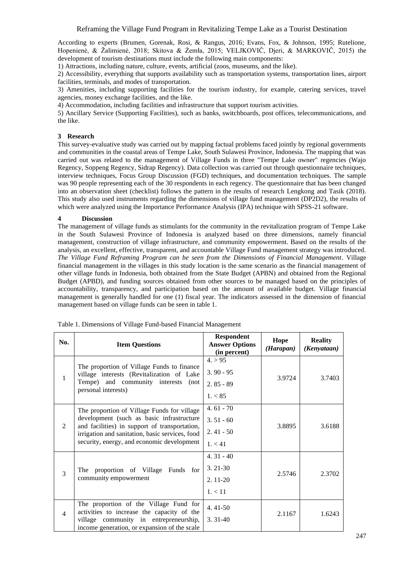According to experts (Brumen, Gorenak, Rosi, & Rangus, 2016; Evans, Fox, & Johnson, 1995; Rutelione, Hopenienė, & Žalimienė, 2018; Skitova & Żemła, 2015; VELJKOVIČ, Djeri, & MARKOVIČ, 2015) the development of tourism destinations must include the following main components:

1) Attractions, including nature, culture, events, artificial (zoos, museums, and the like).

2) Accessibility, everything that supports availability such as transportation systems, transportation lines, airport facilities, terminals, and modes of transportation.

3) Amenities, including supporting facilities for the tourism industry, for example, catering services, travel agencies, money exchange facilities, and the like.

4) Accommodation, including facilities and infrastructure that support tourism activities.

5) Ancillary Service (Supporting Facilities), such as banks, switchboards, post offices, telecommunications, and the like.

# **3 Research**

This survey-evaluative study was carried out by mapping factual problems faced jointly by regional governments and communities in the coastal areas of Tempe Lake, South Sulawesi Province, Indonesia. The mapping that was carried out was related to the management of Village Funds in three "Tempe Lake owner" regencies (Wajo Regency, Soppeng Regency, Sidrap Regency). Data collection was carried out through questionnaire techniques, interview techniques, Focus Group Discussion (FGD) techniques, and documentation techniques. The sample was 90 people representing each of the 30 respondents in each regency. The questionnaire that has been changed into an observation sheet (checklist) follows the pattern in the results of research Lengkong and Tasik (2018). This study also used instruments regarding the dimensions of village fund management (DP2D2), the results of which were analyzed using the Importance Performance Analysis (IPA) technique with SPSS-21 software.

#### **4 Discussion**

The management of village funds as stimulants for the community in the revitalization program of Tempe Lake in the South Sulawesi Province of Indonesia is analyzed based on three dimensions, namely financial management, construction of village infrastructure, and community empowerment. Based on the results of the analysis, an excellent, effective, transparent, and accountable Village Fund management strategy was introduced. *The Village Fund Reframing Program can be seen from the Dimensions of Financial Management*. Village financial management in the villages in this study location is the same scenario as the financial management of other village funds in Indonesia, both obtained from the State Budget (APBN) and obtained from the Regional Budget (APBD), and funding sources obtained from other sources to be managed based on the principles of accountability, transparency, and participation based on the amount of available budget. Village financial management is generally handled for one (1) fiscal year. The indicators assessed in the dimension of financial management based on village funds can be seen in table 1.

| No.            | <b>Item Questions</b>                                                                                                                                                                                                                      | <b>Respondent</b><br><b>Answer Options</b><br>(in percent) | Hope<br>(Harapan) | <b>Reality</b><br>(Kenyataan) |
|----------------|--------------------------------------------------------------------------------------------------------------------------------------------------------------------------------------------------------------------------------------------|------------------------------------------------------------|-------------------|-------------------------------|
| $\mathbf{1}$   | The proportion of Village Funds to finance<br>village interests (Revitalization of Lake<br>Tempe) and community interests<br>(not<br>personal interests)                                                                                   | 4. > 95<br>$3.90 - 95$<br>$2.85 - 89$<br>1. < 85           | 3.9724            | 3.7403                        |
| $\mathfrak{D}$ | The proportion of Village Funds for village<br>development (such as basic infrastructure<br>and facilities) in support of transportation,<br>irrigation and sanitation, basic services, food<br>security, energy, and economic development | $4.61 - 70$<br>$3.51 - 60$<br>$2.41 - 50$<br>1. < 41       | 3.8895            | 3.6188                        |
| 3              | The proportion of Village Funds for<br>community empowerment                                                                                                                                                                               | $4.31 - 40$<br>$3.21 - 30$<br>$2.11 - 20$<br>1. < 11       | 2.5746            | 2.3702                        |
| $\overline{4}$ | The proportion of the Village Fund for<br>activities to increase the capacity of the<br>village community in entrepreneurship,<br>income generation, or expansion of the scale                                                             | $4.41 - 50$<br>$3.31 - 40$                                 | 2.1167            | 1.6243                        |

Table 1. Dimensions of Village Fund-based Financial Management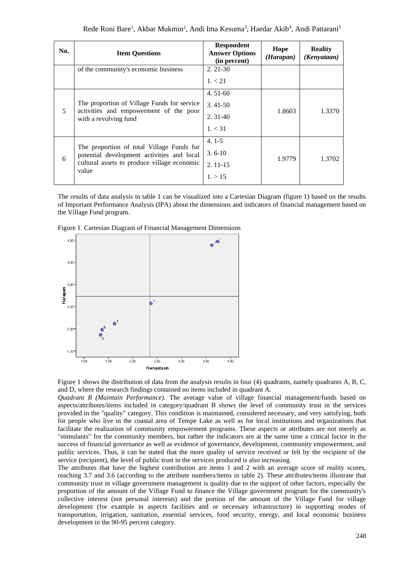| No. | <b>Item Questions</b>                                                                                                                  | <b>Respondent</b><br><b>Answer Options</b><br>(in percent) | Hope<br>(Harapan) | <b>Reality</b><br>(Kenyataan) |
|-----|----------------------------------------------------------------------------------------------------------------------------------------|------------------------------------------------------------|-------------------|-------------------------------|
|     | of the community's economic business                                                                                                   | $2.21-30$                                                  |                   |                               |
|     |                                                                                                                                        | 1, < 21                                                    |                   |                               |
| 5   |                                                                                                                                        | $4.51-60$                                                  |                   |                               |
|     | The proportion of Village Funds for service<br>activities and empowerment of the poor<br>with a revolving fund                         | $3.41 - 50$                                                | 1.8603            |                               |
|     |                                                                                                                                        | $2.31 - 40$                                                |                   | 1.3370                        |
|     |                                                                                                                                        | 1, < 31                                                    |                   |                               |
|     |                                                                                                                                        | $4.1 - 5$                                                  |                   |                               |
| 6   | The proportion of total Village Funds for<br>potential development activities and local<br>cultural assets to produce village economic | $3.6 - 10$                                                 | 1.9779            | 1.3702                        |
|     |                                                                                                                                        | $2.11 - 15$                                                |                   |                               |
|     | value                                                                                                                                  | 1. > 15                                                    |                   |                               |

The results of data analysis in table 1 can be visualized into a Cartesian Diagram (figure 1) based on the results of Important Performance Analysis (IPA) about the dimensions and indicators of financial management based on the Village Fund program.

Figure 1. Cartesian Diagram of Financial Management Dimensions



Figure 1 shows the distribution of data from the analysis results in four (4) quadrants, namely quadrants A, B, C, and D, where the research findings contained no items included in quadrant A.

*Quadrant B (Maintain Performance).* The average value of village financial management/funds based on aspects/attributes/items included in category/quadrant B shows the level of community trust in the services provided in the "quality" category. This condition is maintained, considered necessary, and very satisfying, both for people who live in the coastal area of Tempe Lake as well as for local institutions and organizations that facilitate the realization of community empowerment programs. These aspects or attributes are not merely as "stimulants" for the community members, but rather the indicators are at the same time a critical factor in the success of financial governance as well as evidence of governance, development, community empowerment, and public services. Thus, it can be stated that the more quality of service received or felt by the recipient of the service (recipient), the level of public trust in the services produced is also increasing.

The attributes that have the highest contribution are items 1 and 2 with an average score of reality scores, reaching 3.7 and 3.6 (according to the attribute numbers/items in table 2). These attributes/items illustrate that community trust in village government management is quality due to the support of other factors, especially the proportion of the amount of the Village Fund to finance the Village government program for the community's collective interest (not personal interests) and the portion of the amount of the Village Fund for village development (for example in aspects facilities and or necessary infrastructure) in supporting modes of transportation, irrigation, sanitation, essential services, food security, energy, and local economic business development in the 90-95 percent category.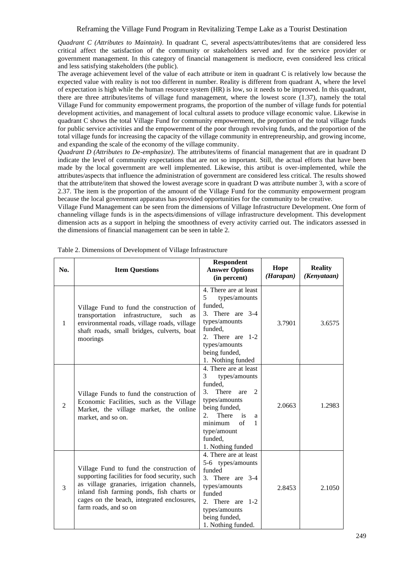*Quadrant C (Attributes to Maintain)*. In quadrant C, several aspects/attributes/items that are considered less critical affect the satisfaction of the community or stakeholders served and for the service provider or government management. In this category of financial management is mediocre, even considered less critical and less satisfying stakeholders (the public).

The average achievement level of the value of each attribute or item in quadrant C is relatively low because the expected value with reality is not too different in number. Reality is different from quadrant A, where the level of expectation is high while the human resource system (HR) is low, so it needs to be improved. In this quadrant, there are three attributes/items of village fund management, where the lowest score (1.37), namely the total Village Fund for community empowerment programs, the proportion of the number of village funds for potential development activities, and management of local cultural assets to produce village economic value. Likewise in quadrant C shows the total Village Fund for community empowerment, the proportion of the total village funds for public service activities and the empowerment of the poor through revolving funds, and the proportion of the total village funds for increasing the capacity of the village community in entrepreneurship, and growing income, and expanding the scale of the economy of the village community.

*Quadrant D (Attributes to De-emphasize)*. The attributes/items of financial management that are in quadrant D indicate the level of community expectations that are not so important. Still, the actual efforts that have been made by the local government are well implemented. Likewise, this artibut is over-implemented, while the attributes/aspects that influence the administration of government are considered less critical. The results showed that the attribute/item that showed the lowest average score in quadrant D was attribute number 3, with a score of 2.37. The item is the proportion of the amount of the Village Fund for the community empowerment program because the local government apparatus has provided opportunities for the community to be creative.

Village Fund Management can be seen from the dimensions of Village Infrastructure Development. One form of channeling village funds is in the aspects/dimensions of village infrastructure development. This development dimension acts as a support in helping the smoothness of every activity carried out. The indicators assessed in the dimensions of financial management can be seen in table 2.

| No. | <b>Item Questions</b>                                                                                                                                                                                                                                       | <b>Respondent</b><br><b>Answer Options</b><br>(in percent)                                                                                                                                                                                      | Hope<br>(Harapan) | <b>Reality</b><br>(Kenyataan) |
|-----|-------------------------------------------------------------------------------------------------------------------------------------------------------------------------------------------------------------------------------------------------------------|-------------------------------------------------------------------------------------------------------------------------------------------------------------------------------------------------------------------------------------------------|-------------------|-------------------------------|
| 1   | Village Fund to fund the construction of<br>transportation infrastructure,<br>such<br>as<br>environmental roads, village roads, village<br>shaft roads, small bridges, culverts, boat<br>moorings                                                           | 4. There are at least<br>5<br>types/amounts<br>funded,<br>3. There are 3-4<br>types/amounts<br>funded,<br>2. There are<br>$1 - 2$<br>types/amounts<br>being funded,<br>1. Nothing funded                                                        | 3.7901            | 3.6575                        |
| 2   | Village Funds to fund the construction of<br>Economic Facilities, such as the Village<br>Market, the village market, the online<br>market, and so on.                                                                                                       | 4. There are at least<br>3<br>types/amounts<br>funded.<br>3.<br>There<br>$\mathfrak{D}$<br>are<br>types/amounts<br>being funded,<br>There<br>is<br>$2_{1}$<br>a<br>of<br>minimum<br>$\mathbf{1}$<br>type/amount<br>funded,<br>1. Nothing funded | 2.0663            | 1.2983                        |
| 3   | Village Fund to fund the construction of<br>supporting facilities for food security, such<br>as village granaries, irrigation channels,<br>inland fish farming ponds, fish charts or<br>cages on the beach, integrated enclosures,<br>farm roads, and so on | 4. There are at least<br>5-6 types/amounts<br>funded<br>3. There are $3-4$<br>types/amounts<br>funded<br>2. There are<br>$1 - 2$<br>types/amounts<br>being funded,<br>1. Nothing funded.                                                        | 2.8453            | 2.1050                        |

|  | Table 2. Dimensions of Development of Village Infrastructure |  |
|--|--------------------------------------------------------------|--|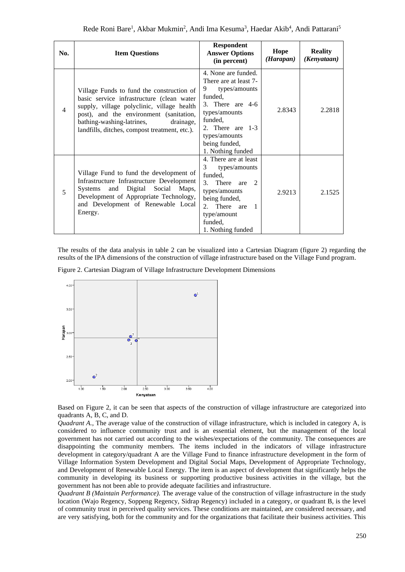| No. | <b>Item Questions</b>                                                                                                                                                                                                                                                      | <b>Respondent</b><br><b>Answer Options</b><br>(in percent)                                                                                                                                                       | Hope<br>(Harapan) | <b>Reality</b><br>(Kenyataan) |
|-----|----------------------------------------------------------------------------------------------------------------------------------------------------------------------------------------------------------------------------------------------------------------------------|------------------------------------------------------------------------------------------------------------------------------------------------------------------------------------------------------------------|-------------------|-------------------------------|
| 4   | Village Funds to fund the construction of<br>basic service infrastructure (clean water<br>supply, village polyclinic, village health<br>post), and the environment (sanitation,<br>bathing-washing-latrines,<br>drainage,<br>landfills, ditches, compost treatment, etc.). | 4. None are funded.<br>There are at least 7-<br>9.<br>types/amounts<br>funded,<br>3. There are 4-6<br>types/amounts<br>funded,<br>2. There are $1-3$<br>types/amounts<br>being funded,<br>1. Nothing funded      | 2.8343            | 2.2818                        |
| 5   | Village Fund to fund the development of<br>Infrastructure Infrastructure Development<br>and Digital Social Maps,<br>Systems<br>Development of Appropriate Technology,<br>and Development of Renewable Local<br>Energy.                                                     | 4. There are at least<br>3<br>types/amounts<br>funded.<br>are $2$<br>3 <sub>1</sub><br>There<br>types/amounts<br>being funded,<br>There are<br>2.<br>$\mathbf{1}$<br>type/amount<br>funded.<br>1. Nothing funded | 2.9213            | 2.1525                        |

The results of the data analysis in table 2 can be visualized into a Cartesian Diagram (figure 2) regarding the results of the IPA dimensions of the construction of village infrastructure based on the Village Fund program.

Figure 2. Cartesian Diagram of Village Infrastructure Development Dimensions



Based on Figure 2, it can be seen that aspects of the construction of village infrastructure are categorized into quadrants A, B, C, and D.

*Quadrant A.*, The average value of the construction of village infrastructure, which is included in category A, is considered to influence community trust and is an essential element, but the management of the local government has not carried out according to the wishes/expectations of the community. The consequences are disappointing the community members. The items included in the indicators of village infrastructure development in category/quadrant A are the Village Fund to finance infrastructure development in the form of Village Information System Development and Digital Social Maps, Development of Appropriate Technology, and Development of Renewable Local Energy. The item is an aspect of development that significantly helps the community in developing its business or supporting productive business activities in the village, but the government has not been able to provide adequate facilities and infrastructure.

*Quadrant B (Maintain Performance).* The average value of the construction of village infrastructure in the study location (Wajo Regency, Soppeng Regency, Sidrap Regency) included in a category, or quadrant B, is the level of community trust in perceived quality services. These conditions are maintained, are considered necessary, and are very satisfying, both for the community and for the organizations that facilitate their business activities. This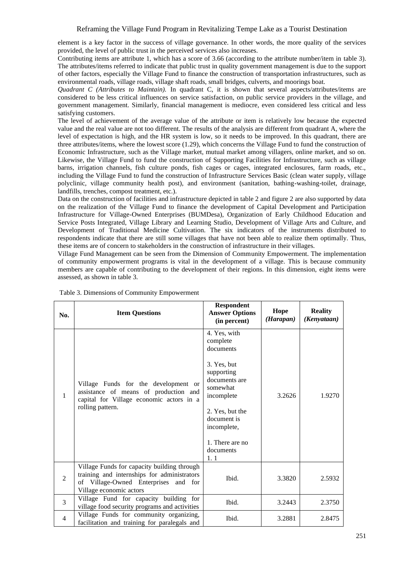# Reframing the Village Fund Program in Revitalizing Tempe Lake as a Tourist Destination

element is a key factor in the success of village governance. In other words, the more quality of the services provided, the level of public trust in the perceived services also increases.

Contributing items are attribute 1, which has a score of 3.66 (according to the attribute number/item in table 3). The attributes/items referred to indicate that public trust in quality government management is due to the support of other factors, especially the Village Fund to finance the construction of transportation infrastructures, such as environmental roads, village roads, village shaft roads, small bridges, culverts, and moorings boat.

*Quadrant C (Attributes to Maintain).* In quadrant C, it is shown that several aspects/attributes/items are considered to be less critical influences on service satisfaction, on public service providers in the village, and government management. Similarly, financial management is mediocre, even considered less critical and less satisfying customers.

The level of achievement of the average value of the attribute or item is relatively low because the expected value and the real value are not too different. The results of the analysis are different from quadrant A, where the level of expectation is high, and the HR system is low, so it needs to be improved. In this quadrant, there are three attributes/items, where the lowest score (1.29), which concerns the Village Fund to fund the construction of Economic Infrastructure, such as the Village market, mutual market among villagers, online market, and so on. Likewise, the Village Fund to fund the construction of Supporting Facilities for Infrastructure, such as village barns, irrigation channels, fish culture ponds, fish cages or cages, integrated enclosures, farm roads, etc., including the Village Fund to fund the construction of Infrastructure Services Basic (clean water supply, village polyclinic, village community health post), and environment (sanitation, bathing-washing-toilet, drainage, landfills, trenches, compost treatment, etc.).

Data on the construction of facilities and infrastructure depicted in table 2 and figure 2 are also supported by data on the realization of the Village Fund to finance the development of Capital Development and Participation Infrastructure for Village-Owned Enterprises (BUMDesa), Organization of Early Childhood Education and Service Posts Integrated, Village Library and Learning Studio, Development of Village Arts and Culture, and Development of Traditional Medicine Cultivation. The six indicators of the instruments distributed to respondents indicate that there are still some villages that have not been able to realize them optimally. Thus, these items are of concern to stakeholders in the construction of infrastructure in their villages.

Village Fund Management can be seen from the Dimension of Community Empowerment. The implementation of community empowerment programs is vital in the development of a village. This is because community members are capable of contributing to the development of their regions. In this dimension, eight items were assessed, as shown in table 3.

| No.            | <b>Item Questions</b>                                                                                                                                         | <b>Respondent</b><br><b>Answer Options</b><br>(in percent)                                                                                                                                            | Hope<br>(Harapan) | <b>Reality</b><br>(Kenyataan) |
|----------------|---------------------------------------------------------------------------------------------------------------------------------------------------------------|-------------------------------------------------------------------------------------------------------------------------------------------------------------------------------------------------------|-------------------|-------------------------------|
| $\mathbf{1}$   | Village Funds for the development or<br>assistance of means of production and<br>capital for Village economic actors in a<br>rolling pattern.                 | 4. Yes, with<br>complete<br>documents<br>3. Yes, but<br>supporting<br>documents are<br>somewhat<br>incomplete<br>2. Yes, but the<br>document is<br>incomplete,<br>1. There are no<br>documents<br>1.1 | 3.2626            | 1.9270                        |
| $\overline{2}$ | Village Funds for capacity building through<br>training and internships for administrators<br>of Village-Owned Enterprises and for<br>Village economic actors | Ibid.                                                                                                                                                                                                 | 3.3820            | 2.5932                        |
| $\overline{3}$ | Village Fund for capacity building for<br>village food security programs and activities                                                                       | Ibid.                                                                                                                                                                                                 | 3.2443            | 2.3750                        |
| 4              | Village Funds for community organizing,<br>facilitation and training for paralegals and                                                                       | Ibid.                                                                                                                                                                                                 | 3.2881            | 2.8475                        |

| Table 3. Dimensions of Community Empowerment |  |  |  |  |  |
|----------------------------------------------|--|--|--|--|--|
|----------------------------------------------|--|--|--|--|--|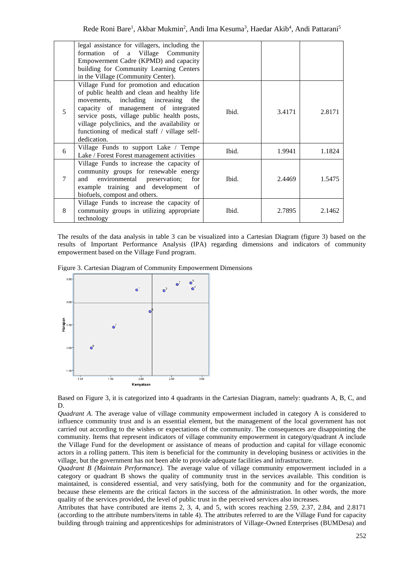|   | legal assistance for villagers, including the<br>formation of a Village Community<br>Empowerment Cadre (KPMD) and capacity<br>building for Community Learning Centers<br>in the Village (Community Center).                                                                                                                          |       |        |        |
|---|--------------------------------------------------------------------------------------------------------------------------------------------------------------------------------------------------------------------------------------------------------------------------------------------------------------------------------------|-------|--------|--------|
| 5 | Village Fund for promotion and education<br>of public health and clean and healthy life<br>movements, including increasing the<br>capacity of management of integrated<br>service posts, village public health posts,<br>village polyclinics, and the availability or<br>functioning of medical staff / village self-<br>dedication. | Ibid. | 3.4171 | 2.8171 |
| 6 | Village Funds to support Lake / Tempe<br>Lake / Forest Forest management activities                                                                                                                                                                                                                                                  | Ibid. | 1.9941 | 1.1824 |
| 7 | Village Funds to increase the capacity of<br>community groups for renewable energy<br>environmental preservation;<br>and<br>for<br>example training and development of<br>biofuels, compost and others.                                                                                                                              | Ibid. | 2.4469 | 1.5475 |
| 8 | Village Funds to increase the capacity of<br>community groups in utilizing appropriate<br>technology                                                                                                                                                                                                                                 | Ibid. | 2.7895 | 2.1462 |

The results of the data analysis in table 3 can be visualized into a Cartesian Diagram (figure 3) based on the results of Important Performance Analysis (IPA) regarding dimensions and indicators of community empowerment based on the Village Fund program.

Figure 3. Cartesian Diagram of Community Empowerment Dimensions



Based on Figure 3, it is categorized into 4 quadrants in the Cartesian Diagram, namely: quadrants A, B, C, and D.

*Quadrant A*. The average value of village community empowerment included in category A is considered to influence community trust and is an essential element, but the management of the local government has not carried out according to the wishes or expectations of the community. The consequences are disappointing the community. Items that represent indicators of village community empowerment in category/quadrant A include the Village Fund for the development or assistance of means of production and capital for village economic actors in a rolling pattern. This item is beneficial for the community in developing business or activities in the village, but the government has not been able to provide adequate facilities and infrastructure.

*Quadrant B (Maintain Performance).* The average value of village community empowerment included in a category or quadrant B shows the quality of community trust in the services available. This condition is maintained, is considered essential, and very satisfying, both for the community and for the organization, because these elements are the critical factors in the success of the administration. In other words, the more quality of the services provided, the level of public trust in the perceived services also increases.

Attributes that have contributed are items 2, 3, 4, and 5, with scores reaching 2.59, 2.37, 2.84, and 2.8171 (according to the attribute numbers/items in table 4). The attributes referred to are the Village Fund for capacity building through training and apprenticeships for administrators of Village-Owned Enterprises (BUMDesa) and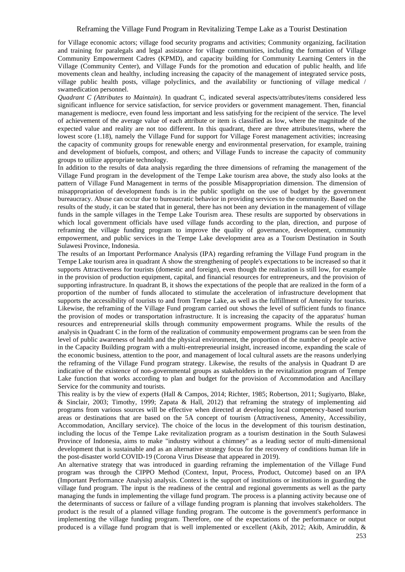for Village economic actors; village food security programs and activities; Community organizing, facilitation and training for paralegals and legal assistance for village communities, including the formation of Village Community Empowerment Cadres (KPMD), and capacity building for Community Learning Centers in the Village (Community Center), and Village Funds for the promotion and education of public health, and life movements clean and healthy, including increasing the capacity of the management of integrated service posts, village public health posts, village polyclinics, and the availability or functioning of village medical / swamedication personnel.

*Quadrant C (Attributes to Maintain).* In quadrant C, indicated several aspects/attributes/items considered less significant influence for service satisfaction, for service providers or government management. Then, financial management is mediocre, even found less important and less satisfying for the recipient of the service. The level of achievement of the average value of each attribute or item is classified as low, where the magnitude of the expected value and reality are not too different. In this quadrant, there are three attributes/items, where the lowest score (1.18), namely the Village Fund for support for Village Forest management activities; increasing the capacity of community groups for renewable energy and environmental preservation, for example, training and development of biofuels, compost, and others; and Village Funds to increase the capacity of community groups to utilize appropriate technology.

In addition to the results of data analysis regarding the three dimensions of reframing the management of the Village Fund program in the development of the Tempe Lake tourism area above, the study also looks at the pattern of Village Fund Management in terms of the possible Misappropriation dimension. The dimension of misappropriation of development funds is in the public spotlight on the use of budget by the government bureaucracy. Abuse can occur due to bureaucratic behavior in providing services to the community. Based on the results of the study, it can be stated that in general, there has not been any deviation in the management of village funds in the sample villages in the Tempe Lake Tourism area. These results are supported by observations in which local government officials have used village funds according to the plan, direction, and purpose of reframing the village funding program to improve the quality of governance, development, community empowerment, and public services in the Tempe Lake development area as a Tourism Destination in South Sulawesi Province, Indonesia.

The results of an Important Performance Analysis (IPA) regarding reframing the Village Fund program in the Tempe Lake tourism area in quadrant A show the strengthening of people's expectations to be increased so that it supports Attractiveness for tourists (domestic and foreign), even though the realization is still low, for example in the provision of production equipment, capital, and financial resources for entrepreneurs, and the provision of supporting infrastructure. In quadrant B, it shows the expectations of the people that are realized in the form of a proportion of the number of funds allocated to stimulate the acceleration of infrastructure development that supports the accessibility of tourists to and from Tempe Lake, as well as the fulfillment of Amenity for tourists. Likewise, the reframing of the Village Fund program carried out shows the level of sufficient funds to finance the provision of modes or transportation infrastructure. It is increasing the capacity of the apparatus' human resources and entrepreneurial skills through community empowerment programs. While the results of the analysis in Quadrant C in the form of the realization of community empowerment programs can be seen from the level of public awareness of health and the physical environment, the proportion of the number of people active in the Capacity Building program with a multi-entrepreneurial insight, increased income, expanding the scale of the economic business, attention to the poor, and management of local cultural assets are the reasons underlying the reframing of the Village Fund program strategy. Likewise, the results of the analysis in Quadrant D are indicative of the existence of non-governmental groups as stakeholders in the revitalization program of Tempe Lake function that works according to plan and budget for the provision of Accommodation and Ancillary Service for the community and tourists.

This reality is by the view of experts (Hall & Campos, 2014; Richter, 1985; Robertson, 2011; Sugiyarto, Blake, & Sinclair, 2003; Timothy, 1999; Zapata & Hall, 2012) that reframing the strategy of implementing aid programs from various sources will be effective when directed at developing local competency-based tourism areas or destinations that are based on the 5A concept of tourism (Attractiveness, Amenity, Accessibility, Accommodation, Ancillary service). The choice of the locus in the development of this tourism destination, including the locus of the Tempe Lake revitalization program as a tourism destination in the South Sulawesi Province of Indonesia, aims to make "industry without a chimney" as a leading sector of multi-dimensional development that is sustainable and as an alternative strategy focus for the recovery of conditions human life in the post-disaster world COVID-19 (Corona Virus Disease that appeared in 2019).

An alternative strategy that was introduced in guarding reframing the implementation of the Village Fund program was through the CIPPO Method (Context, Input, Process, Product, Outcome) based on an IPA (Important Performance Analysis) analysis. Context is the support of institutions or institutions in guarding the village fund program. The input is the readiness of the central and regional governments as well as the party managing the funds in implementing the village fund program. The process is a planning activity because one of the determinants of success or failure of a village funding program is planning that involves stakeholders. The product is the result of a planned village funding program. The outcome is the government's performance in implementing the village funding program. Therefore, one of the expectations of the performance or output produced is a village fund program that is well implemented or excellent (Akib, 2012; Akib, Amiruddin, &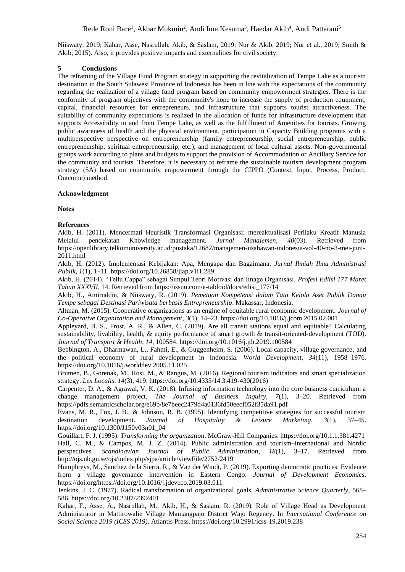# Rede Roni Bare<sup>1</sup>, Akbar Mukmin<sup>2</sup>, Andi Ima Kesuma<sup>3</sup>, Haedar Akib<sup>4</sup>, Andi Pattarani<sup>5</sup>

Niiswaty, 2019; Kahar, Asse, Nasrullah, Akib, & Saslam, 2019; Nur & Akib, 2019; Nur et al., 2019; Smith & Akib, 2015). Also, it provides positive impacts and externalities for civil society.

### **5 Conclusions**

The reframing of the Village Fund Program strategy in supporting the revitalization of Tempe Lake as a tourism destination in the South Sulawesi Province of Indonesia has been in line with the expectations of the community regarding the realization of a village fund program based on community empowerment strategies. There is the conformity of program objectives with the community's hope to increase the supply of production equipment, capital, financial resources for entrepreneurs, and infrastructure that supports tourist attractiveness. The suitability of community expectations is realized in the allocation of funds for infrastructure development that supports Accessibility to and from Tempe Lake, as well as the fulfillment of Amenities for tourists. Growing public awareness of health and the physical environment, participation in Capacity Building programs with a multiperspective perspective on entrepreneurship (family entrepreneurship, social entrepreneurship, public entrepreneurship, spiritual entrepreneurship, etc.), and management of local cultural assets. Non-governmental groups work according to plans and budgets to support the provision of Accommodation or Ancillary Service for the community and tourists. Therefore, it is necessary to reframe the sustainable tourism development program strategy (5A) based on community empowerment through the CIPPO (Context, Input, Process, Product, Outcome) method.

# **Acknowledgment**

**Notes** 

#### **References**

Akib, H. (2011). Mencermati Heuristik Transformasi Organisasi: mereaktualisasi Perilaku Kreatif Manusia Melalui pendekatan Knowledge management. *Jurnal Manajemen*, *40*(03). Retrieved from https://openlibrary.telkomuniversity.ac.id/pustaka/12682/manajemen-usahawan-indonesia-vol-40-no-3-mei-juni-2011.html

Akib, H. (2012). Implementasi Kebijakan: Apa, Mengapa dan Bagaimana. *Jurnal Ilmiah Ilmu Administrasi Publik*, *1*(1), 1–11. https://doi.org/10.26858/jiap.v1i1.289

Akib, H. (2014). "Tellu Cappa" sebagai Simpul Teori Motivasi dan Image Organisasi. *Profesi Ediisi 177 Maret Tahun XXXVII*, 14. Retrieved from https://issuu.com/e-tabloid/docs/edisi\_177/14

Akib, H., Amiruddin, & Niiswaty, R. (2019). *Pemetaan Kompetensi dalam Tata Kelola Aset Publik Danau Tempe sebagai Destinasi Pariwisata berbasis Entrepreneurship*. Makassar, Indonesia.

Altman, M. (2015). Cooperative organizations as an engine of equitable rural economic development. *Journal of Co-Operative Organization and Management*, *3*(1), 14–23. https://doi.org/10.1016/j.jcom.2015.02.001

Appleyard, B. S., Frost, A. R., & Allen, C. (2019). Are all transit stations equal and equitable? Calculating sustainability, livability, health, & equity performance of smart growth & transit-oriented-development (TOD). *Journal of Transport & Health*, *14*, 100584. https://doi.org/10.1016/j.jth.2019.100584

Bebbington, A., Dharmawan, L., Fahmi, E., & Guggenheim, S. (2006). Local capacity, village governance, and the political economy of rural development in Indonesia. *World Development*, *34*(11), 1958–1976. https://doi.org/10.1016/j.worlddev.2005.11.025

Brumen, B., Gorenak, M., Rosi, M., & Rangus, M. (2016). Regional tourism indicators and smart specialization strategy. *Lex Localis*, *14*(3), 419. https://doi.org/10.4335/14.3.419-430(2016)

Carpenter, D. A., & Agrawal, V. K. (2018). Infusing information technology into the core business curriculum: a change management project. *The Journal of Business Inquiry*, *7*(1), 3–20. Retrieved from https://pdfs.semanticscholar.org/e69b/8e7beec2479d4a0136fd50eecf052f35da91.pdf

Evans, M. R., Fox, J. B., & Johnson, R. B. (1995). Identifying competitive strategies for successful tourism<br>destination development. Journal of Hospitality & Leisure Marketing, 3(1), 37–45. destination development. *Journal of Hospitality & Leisure Marketing*, *3*(1), 37–45. https://doi.org/10.1300/J150v03n01\_04

Gouillart, F. J. (1995). *Transforming the organization*. McGraw-Hill Companies. https://doi.org/10.1.1.381.4271 Hall, C. M., & Campos, M. J. Z. (2014). Public administration and tourism–international and Nordic perspectives. *Scandinavian Journal of Public Administration*, *18*(1), 3–17. Retrieved from http://ojs.ub.gu.se/ojs/index.php/sjpa/article/viewFile/2752/2419

Humphreys, M., Sanchez de la Sierra, R., & Van der Windt, P. (2019). Exporting democratic practices: Evidence from a village governance intervention in Eastern Congo. *Journal of Development Economics*. https://doi.org/https://doi.org/10.1016/j.jdeveco.2019.03.011

Jenkins, J. C. (1977). Radical transformation of organizational goals. *Administrative Science Quarterly*, 568– 586. https://doi.org/10.2307/2392401

Kahar, F., Asse, A., Nasrullah, M., Akib, H., & Saslam, R. (2019). Role of Village Head as Development Administrator in Mattirowalie Village Maniangpajo District Wajo Regency. In *International Conference on Social Science 2019 (ICSS 2019)*. Atlantis Press. https://doi.org/10.2991/icss-19.2019.238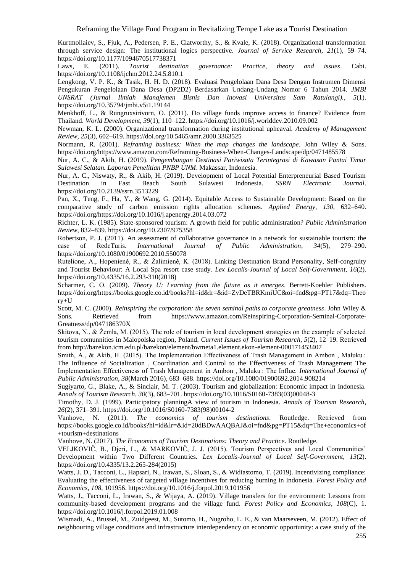Kurtmollaiev, S., Fjuk, A., Pedersen, P. E., Clatworthy, S., & Kvale, K. (2018). Organizational transformation through service design: The institutional logics perspective. *Journal of Service Research*, *21*(1), 59–74. https://doi.org/10.1177/1094670517738371

Laws, E. (2011). *Tourist destination governance: Practice, theory and issues*. Cabi. https://doi.org/10.1108/ijchm.2012.24.5.810.1

Lengkong, V. P. K., & Tasik, H. H. D. (2018). Evaluasi Pengelolaan Dana Desa Dengan Instrumen Dimensi Pengukuran Pengelolaan Dana Desa (DP2D2) Berdasarkan Undang-Undang Nomor 6 Tahun 2014. *JMBI UNSRAT (Jurnal Ilmiah Manajemen Bisnis Dan Inovasi Universitas Sam Ratulangi).*, *5*(1). https://doi.org/10.35794/jmbi.v5i1.19144

Menkhoff, L., & Rungruxsirivorn, O. (2011). Do village funds improve access to finance? Evidence from Thailand. *World Development*, *39*(1), 110–122. https://doi.org/10.1016/j.worlddev.2010.09.002

Newman, K. L. (2000). Organizational transformation during institutional upheaval. *Academy of Management Review*, *25*(3), 602–619. https://doi.org/10.5465/amr.2000.3363525

Normann, R. (2001). *Reframing business: When the map changes the landscape*. John Wiley & Sons. https://doi.org/https://www.amazon.com/Reframing-Business-When-Changes-Landscape/dp/0471485578

Nur, A. C., & Akib, H. (2019). *Pengembangan Destinasi Pariwisata Terintegrasi di Kawasan Pantai Timur Sulawesi Selatan. Laporan Penelitian PNBP UNM*. Makassar, Indonesia.

Nur, A. C., Niswaty, R., & Akib, H. (2019). Development of Local Potential Enterpreneurial Based Tourism<br>Destination in East Beach South Sulawesi Indonesia. SSRN Electronic Journal. Destination in East Beach South Sulawesi Indonesia. *SSRN Electronic Journal*. https://doi.org/10.2139/ssrn.3513229

Pan, X., Teng, F., Ha, Y., & Wang, G. (2014). Equitable Access to Sustainable Development: Based on the comparative study of carbon emission rights allocation schemes. *Applied Energy*, *130*, 632–640. https://doi.org/https://doi.org/10.1016/j.apenergy.2014.03.072

Richter, L. K. (1985). State-sponsored tourism: A growth field for public administration? *Public Administration Review*, 832–839. https://doi.org/10.2307/975358

Robertson, P. J. (2011). An assessment of collaborative governance in a network for sustainable tourism: the case of RedeTuris. *International Journal of Public Administration*, *34*(5), 279–290. https://doi.org/10.1080/01900692.2010.550078

Rutelione, A., Hopenienė, R., & Žalimienė, K. (2018). Linking Destination Brand Personality, Self-congruity and Tourist Behaviour: A Local Spa resort case study. *Lex Localis-Journal of Local Self-Government*, *16*(2). https://doi.org/10.4335/16.2.293-310(2018)

Scharmer, C. O. (2009). *Theory U: Learning from the future as it emerges*. Berrett-Koehler Publishers. https://doi.org/https://books.google.co.id/books?hl=id&lr=&id=ZvDeTBRKmiUC&oi=fnd&pg=PT17&dq=Theo ry+U

Scott, M. C. (2000). *Reinspiring the corporation: the seven seminal paths to corporate greatness*. John Wiley & Sons. Retrieved from https://www.amazon.com/Reinspiring-Corporation-Seminal-Corporate-Greatness/dp/047186370X

Skitova, N., & Żemła, M. (2015). The role of tourism in local development strategies on the example of selected tourism comunnities in Malopolska region, Poland. *Current Issues of Tourism Research*, *5*(2), 12–19. Retrieved from http://bazekon.icm.edu.pl/bazekon/element/bwmeta1.element.ekon-element-000171453407

Smith, A., & Akib, H. (2015). The Implementation Effectiveness of Trash Management in Ambon , Maluku : The Influence of Socialization , Coordination and Control to the Effectiveness of Trash Management The Implementation Effectiveness of Trash Management in Ambon , Maluku : The Influe. *International Journal of Public Administration*, *38*(March 2016), 683–688. https://doi.org/10.1080/01900692.2014.908214

Sugiyarto, G., Blake, A., & Sinclair, M. T. (2003). Tourism and globalization: Economic impact in Indonesia. *Annals of Tourism Research*, *30*(3), 683–701. https://doi.org/10.1016/S0160-7383(03)00048-3

Timothy, D. J. (1999). Participatory planningA view of tourism in Indonesia. *Annals of Tourism Research*, *26*(2), 371–391. https://doi.org/10.1016/S0160-7383(98)00104-2

Vanhove, N. (2011). *The economics of tourism destinations*. Routledge. Retrieved from https://books.google.co.id/books?hl=id&lr=&id=20dBDwAAQBAJ&oi=fnd&pg=PT15&dq=The+economics+of +tourism+destinations

Vanhove, N. (2017). *The Economics of Tourism Destinations: Theory and Practice*. Routledge.

VELJKOVIČ, B., Djeri, L., & MARKOVIČ, J. J. (2015). Tourism Perspectives and Local Communities' Development within Two Different Countries. *Lex Localis-Journal of Local Self-Government*, *13*(2). https://doi.org/10.4335/13.2.265-284(2015)

Watts, J. D., Tacconi, L., Hapsari, N., Irawan, S., Sloan, S., & Widiastomo, T. (2019). Incentivizing compliance: Evaluating the effectiveness of targeted village incentives for reducing burning in Indonesia. *Forest Policy and Economics*, *108*, 101956. https://doi.org/10.1016/j.forpol.2019.101956

Watts, J., Tacconi, L., Irawan, S., & Wijaya, A. (2019). Village transfers for the environment: Lessons from community-based development programs and the village fund. *Forest Policy and Economics*, *108*(C), 1. https://doi.org/10.1016/j.forpol.2019.01.008

Wismadi, A., Brussel, M., Zuidgeest, M., Sutomo, H., Nugroho, L. E., & van Maarseveen, M. (2012). Effect of neighbouring village conditions and infrastructure interdependency on economic opportunity: a case study of the